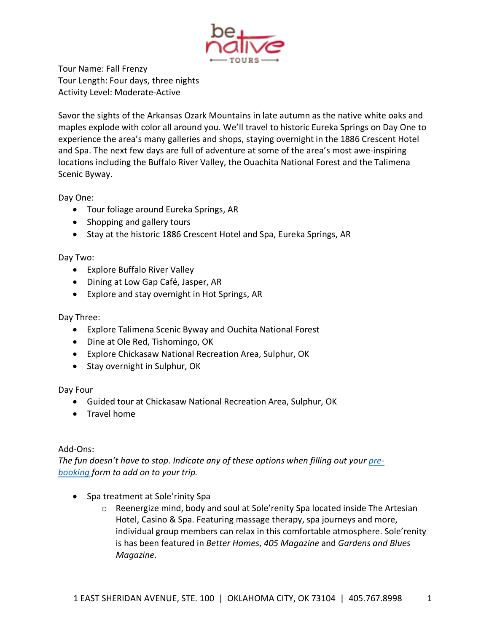

Tour Name: Fall Frenzy Tour Length: Four days, three nights Activity Level: Moderate-Active

Savor the sights of the Arkansas Ozark Mountains in late autumn as the native white oaks and maples explode with color all around you. We'll travel to historic Eureka Springs on Day One to experience the area's many galleries and shops, staying overnight in the 1886 Crescent Hotel and Spa. The next few days are full of adventure at some of the area's most awe-inspiring locations including the Buffalo River Valley, the Ouachita National Forest and the Talimena Scenic Byway.

Day One:

- Tour foliage around Eureka Springs, AR
- Shopping and gallery tours
- Stay at the historic 1886 Crescent Hotel and Spa, Eureka Springs, AR

## Day Two:

- Explore Buffalo River Valley
- Dining at Low Gap Café, Jasper, AR
- Explore and stay overnight in Hot Springs, AR

Day Three:

- Explore Talimena Scenic Byway and Ouchita National Forest
- Dine at Ole Red, Tishomingo, OK
- Explore Chickasaw National Recreation Area, Sulphur, OK
- Stay overnight in Sulphur, OK

Day Four

- Guided tour at Chickasaw National Recreation Area, Sulphur, OK
- Travel home

## Add-Ons:

*The fun doesn't have to stop. Indicate any of these options when filling out your prebooking form to add on to your trip.*

- Spa treatment at Sole'rinity Spa
	- o Reenergize mind, body and soul at Sole'renity Spa located inside The Artesian Hotel, Casino & Spa. Featuring massage therapy, spa journeys and more, individual group members can relax in this comfortable atmosphere. Sole'renity is has been featured in *Better Homes*, *405 Magazine* and *Gardens and Blues Magazine*.